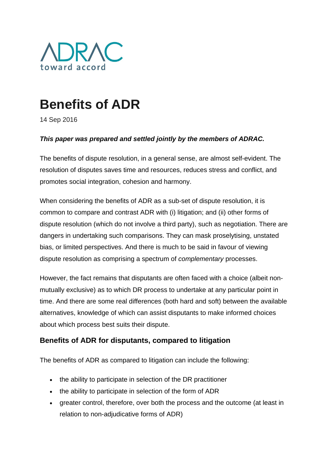

# **Benefits of ADR**

14 Sep 2016

#### *This paper was prepared and settled jointly by the members of ADRAC.*

The benefits of dispute resolution, in a general sense, are almost self-evident. The resolution of disputes saves time and resources, reduces stress and conflict, and promotes social integration, cohesion and harmony.

When considering the benefits of ADR as a sub-set of dispute resolution, it is common to compare and contrast ADR with (i) litigation; and (ii) other forms of dispute resolution (which do not involve a third party), such as negotiation. There are dangers in undertaking such comparisons. They can mask proselytising, unstated bias, or limited perspectives. And there is much to be said in favour of viewing dispute resolution as comprising a spectrum of *complementary* processes.

However, the fact remains that disputants are often faced with a choice (albeit nonmutually exclusive) as to which DR process to undertake at any particular point in time. And there are some real differences (both hard and soft) between the available alternatives, knowledge of which can assist disputants to make informed choices about which process best suits their dispute.

### **Benefits of ADR for disputants, compared to litigation**

The benefits of ADR as compared to litigation can include the following:

- the ability to participate in selection of the DR practitioner
- the ability to participate in selection of the form of ADR
- greater control, therefore, over both the process and the outcome (at least in relation to non-adjudicative forms of ADR)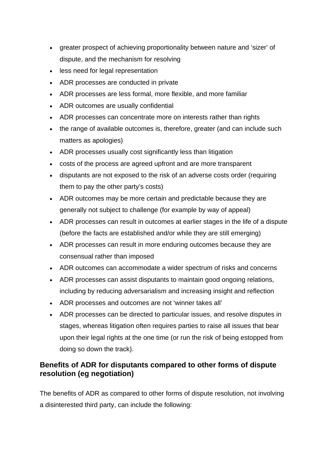- greater prospect of achieving proportionality between nature and 'sizer' of dispute, and the mechanism for resolving
- less need for legal representation
- ADR processes are conducted in private
- ADR processes are less formal, more flexible, and more familiar
- ADR outcomes are usually confidential
- ADR processes can concentrate more on interests rather than rights
- the range of available outcomes is, therefore, greater (and can include such matters as apologies)
- ADR processes usually cost significantly less than litigation
- costs of the process are agreed upfront and are more transparent
- disputants are not exposed to the risk of an adverse costs order (requiring them to pay the other party's costs)
- ADR outcomes may be more certain and predictable because they are generally not subject to challenge (for example by way of appeal)
- ADR processes can result in outcomes at earlier stages in the life of a dispute (before the facts are established and/or while they are still emerging)
- ADR processes can result in more enduring outcomes because they are consensual rather than imposed
- ADR outcomes can accommodate a wider spectrum of risks and concerns
- ADR processes can assist disputants to maintain good ongoing relations, including by reducing adversarialism and increasing insight and reflection
- ADR processes and outcomes are not 'winner takes all'
- ADR processes can be directed to particular issues, and resolve disputes in stages, whereas litigation often requires parties to raise all issues that bear upon their legal rights at the one time (or run the risk of being estopped from doing so down the track).

# **Benefits of ADR for disputants compared to other forms of dispute resolution (eg negotiation)**

The benefits of ADR as compared to other forms of dispute resolution, not involving a disinterested third party, can include the following: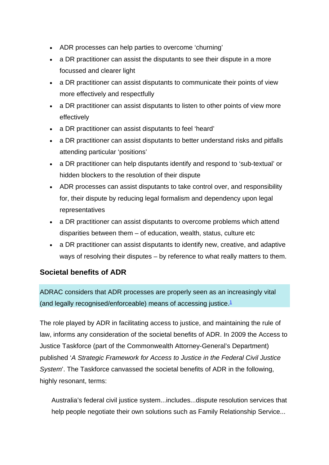- ADR processes can help parties to overcome 'churning'
- a DR practitioner can assist the disputants to see their dispute in a more focussed and clearer light
- a DR practitioner can assist disputants to communicate their points of view more effectively and respectfully
- a DR practitioner can assist disputants to listen to other points of view more effectively
- a DR practitioner can assist disputants to feel 'heard'
- a DR practitioner can assist disputants to better understand risks and pitfalls attending particular 'positions'
- a DR practitioner can help disputants identify and respond to 'sub-textual' or hidden blockers to the resolution of their dispute
- ADR processes can assist disputants to take control over, and responsibility for, their dispute by reducing legal formalism and dependency upon legal representatives
- a DR practitioner can assist disputants to overcome problems which attend disparities between them – of education, wealth, status, culture etc
- a DR practitioner can assist disputants to identify new, creative, and adaptive ways of resolving their disputes – by reference to what really matters to them.

# **Societal benefits of ADR**

ADRAC considers that ADR processes are properly seen as an increasingly vital (and legally recognised/enforceable) means of accessing justice.<sup>1</sup>

The role played by ADR in facilitating access to justice, and maintaining the rule of law, informs any consideration of the societal benefits of ADR. In 2009 the Access to Justice Taskforce (part of the Commonwealth Attorney-General's Department) published '*A Strategic Framework for Access to Justice in the Federal Civil Justice System*'. The Taskforce canvassed the societal benefits of ADR in the following, highly resonant, terms:

Australia's federal civil justice system...includes...dispute resolution services that help people negotiate their own solutions such as Family Relationship Service...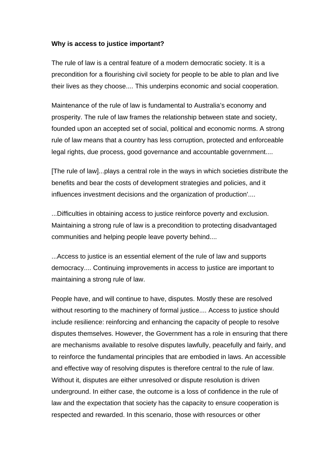#### **Why is access to justice important?**

The rule of law is a central feature of a modern democratic society. It is a precondition for a flourishing civil society for people to be able to plan and live their lives as they choose.... This underpins economic and social cooperation.

Maintenance of the rule of law is fundamental to Australia's economy and prosperity. The rule of law frames the relationship between state and society, founded upon an accepted set of social, political and economic norms. A strong rule of law means that a country has less corruption, protected and enforceable legal rights, due process, good governance and accountable government....

[The rule of law]...plays a central role in the ways in which societies distribute the benefits and bear the costs of development strategies and policies, and it influences investment decisions and the organization of production'....

...Difficulties in obtaining access to justice reinforce poverty and exclusion. Maintaining a strong rule of law is a precondition to protecting disadvantaged communities and helping people leave poverty behind....

...Access to justice is an essential element of the rule of law and supports democracy.... Continuing improvements in access to justice are important to maintaining a strong rule of law.

People have, and will continue to have, disputes. Mostly these are resolved without resorting to the machinery of formal justice.... Access to justice should include resilience: reinforcing and enhancing the capacity of people to resolve disputes themselves. However, the Government has a role in ensuring that there are mechanisms available to resolve disputes lawfully, peacefully and fairly, and to reinforce the fundamental principles that are embodied in laws. An accessible and effective way of resolving disputes is therefore central to the rule of law. Without it, disputes are either unresolved or dispute resolution is driven underground. In either case, the outcome is a loss of confidence in the rule of law and the expectation that society has the capacity to ensure cooperation is respected and rewarded. In this scenario, those with resources or other